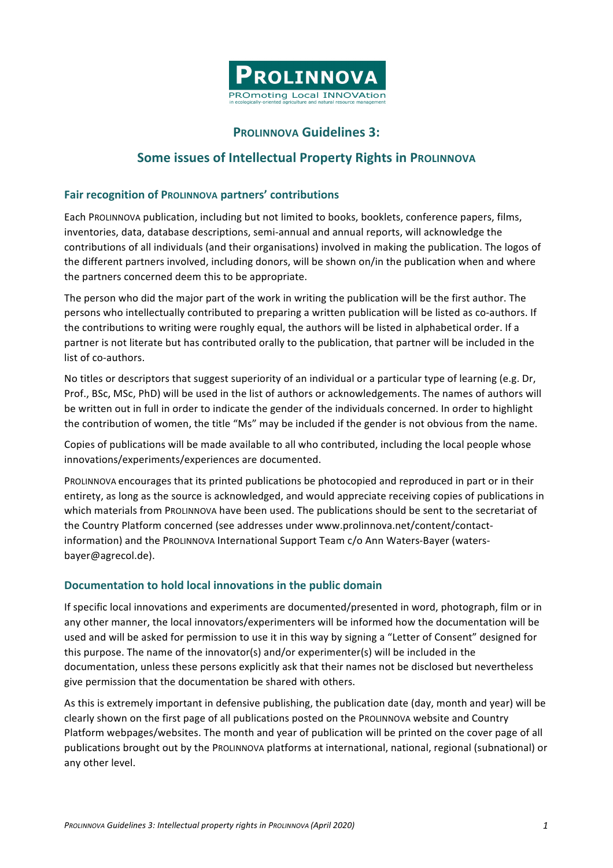

## **PROLINNOVA Guidelines 3:**

## **Some issues of Intellectual Property Rights in PROLINNOVA**

## **Fair recognition of PROLINNOVA partners' contributions**

Each PROLINNOVA publication, including but not limited to books, booklets, conference papers, films, inventories, data, database descriptions, semi-annual and annual reports, will acknowledge the contributions of all individuals (and their organisations) involved in making the publication. The logos of the different partners involved, including donors, will be shown on/in the publication when and where the partners concerned deem this to be appropriate.

The person who did the major part of the work in writing the publication will be the first author. The persons who intellectually contributed to preparing a written publication will be listed as co-authors. If the contributions to writing were roughly equal, the authors will be listed in alphabetical order. If a partner is not literate but has contributed orally to the publication, that partner will be included in the list of co-authors.

No titles or descriptors that suggest superiority of an individual or a particular type of learning (e.g. Dr, Prof., BSc, MSc, PhD) will be used in the list of authors or acknowledgements. The names of authors will be written out in full in order to indicate the gender of the individuals concerned. In order to highlight the contribution of women, the title "Ms" may be included if the gender is not obvious from the name.

Copies of publications will be made available to all who contributed, including the local people whose innovations/experiments/experiences are documented.

PROLINNOVA encourages that its printed publications be photocopied and reproduced in part or in their entirety, as long as the source is acknowledged, and would appreciate receiving copies of publications in which materials from PROLINNOVA have been used. The publications should be sent to the secretariat of the Country Platform concerned (see addresses under www.prolinnova.net/content/contactinformation) and the PROLINNOVA International Support Team c/o Ann Waters-Bayer (watersbayer@agrecol.de).

## **Documentation to hold local innovations in the public domain**

If specific local innovations and experiments are documented/presented in word, photograph, film or in any other manner, the local innovators/experimenters will be informed how the documentation will be used and will be asked for permission to use it in this way by signing a "Letter of Consent" designed for this purpose. The name of the innovator(s) and/or experimenter(s) will be included in the documentation, unless these persons explicitly ask that their names not be disclosed but nevertheless give permission that the documentation be shared with others.

As this is extremely important in defensive publishing, the publication date (day, month and year) will be clearly shown on the first page of all publications posted on the PROLINNOVA website and Country Platform webpages/websites. The month and year of publication will be printed on the cover page of all publications brought out by the PROLINNOVA platforms at international, national, regional (subnational) or any other level.